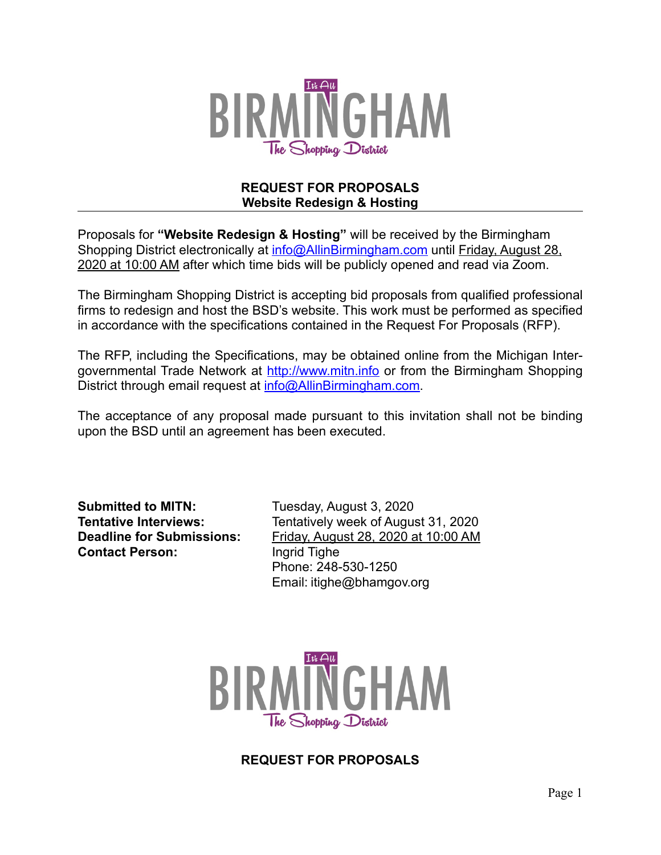

#### **REQUEST FOR PROPOSALS Website Redesign & Hosting**

Proposals for **"Website Redesign & Hosting"** will be received by the Birmingham Shopping District electronically at [info@AllinBirmingham.com](mailto:info@AllinBirmingham.com) until Friday, August 28, 2020 at 10:00 AM after which time bids will be publicly opened and read via Zoom.

The Birmingham Shopping District is accepting bid proposals from qualified professional firms to redesign and host the BSD's website. This work must be performed as specified in accordance with the specifications contained in the Request For Proposals (RFP).

The RFP, including the Specifications, may be obtained online from the Michigan Intergovernmental Trade Network at [http://www.mitn.info](http://www.govbids.com/scripts/MITN/public/home1.asp) or from the Birmingham Shopping District through email request at [info@AllinBirmingham.com.](mailto:info@AllinBirmingham.com)

The acceptance of any proposal made pursuant to this invitation shall not be binding upon the BSD until an agreement has been executed.

**Submitted to MITN:** Tuesday, August 3, 2020 **Contact Person:** Ingrid Tighe

**Tentative Interviews:** Tentatively week of August 31, 2020 **Deadline for Submissions:** Friday, August 28, 2020 at 10:00 AM Phone: 248-530-1250 Email: itighe@bhamgov.org



**REQUEST FOR PROPOSALS**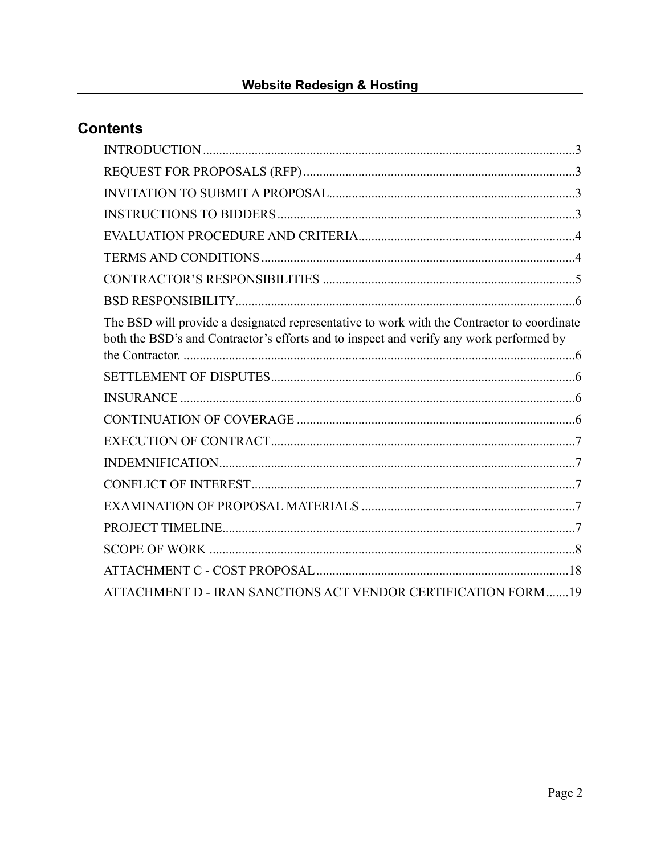# **Contents**

| The BSD will provide a designated representative to work with the Contractor to coordinate<br>both the BSD's and Contractor's efforts and to inspect and verify any work performed by |  |
|---------------------------------------------------------------------------------------------------------------------------------------------------------------------------------------|--|
|                                                                                                                                                                                       |  |
|                                                                                                                                                                                       |  |
|                                                                                                                                                                                       |  |
|                                                                                                                                                                                       |  |
|                                                                                                                                                                                       |  |
|                                                                                                                                                                                       |  |
|                                                                                                                                                                                       |  |
|                                                                                                                                                                                       |  |
|                                                                                                                                                                                       |  |
|                                                                                                                                                                                       |  |
| ATTACHMENT D - IRAN SANCTIONS ACT VENDOR CERTIFICATION FORM19                                                                                                                         |  |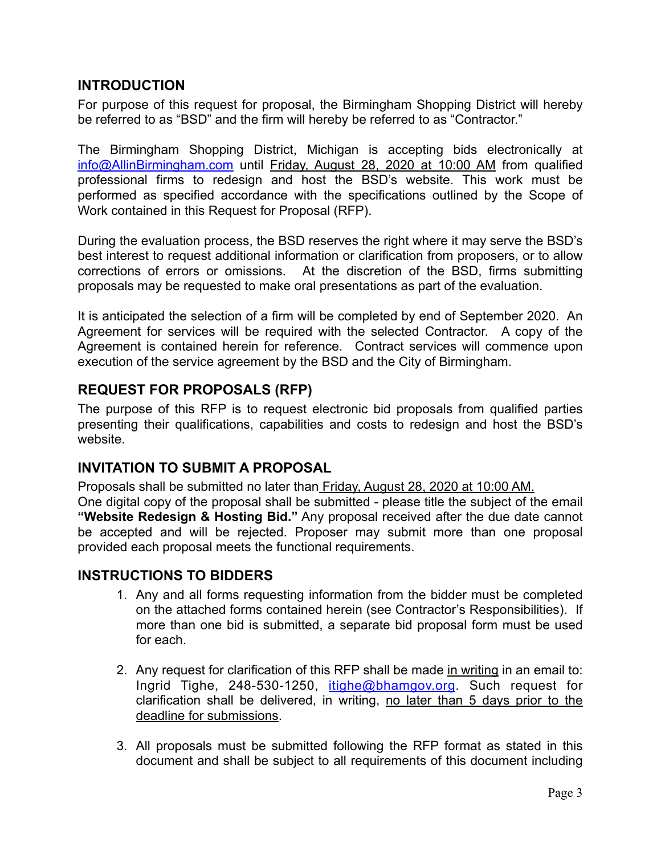#### <span id="page-2-0"></span>**INTRODUCTION**

For purpose of this request for proposal, the Birmingham Shopping District will hereby be referred to as "BSD" and the firm will hereby be referred to as "Contractor."

The Birmingham Shopping District, Michigan is accepting bids electronically at [info@AllinBirmingham.com](mailto:info@AllinBirmingham.com) until Friday, August 28, 2020 at 10:00 AM from qualified professional firms to redesign and host the BSD's website. This work must be performed as specified accordance with the specifications outlined by the Scope of Work contained in this Request for Proposal (RFP).

During the evaluation process, the BSD reserves the right where it may serve the BSD's best interest to request additional information or clarification from proposers, or to allow corrections of errors or omissions. At the discretion of the BSD, firms submitting proposals may be requested to make oral presentations as part of the evaluation.

It is anticipated the selection of a firm will be completed by end of September 2020. An Agreement for services will be required with the selected Contractor. A copy of the Agreement is contained herein for reference. Contract services will commence upon execution of the service agreement by the BSD and the City of Birmingham.

### <span id="page-2-1"></span>**REQUEST FOR PROPOSALS (RFP)**

The purpose of this RFP is to request electronic bid proposals from qualified parties presenting their qualifications, capabilities and costs to redesign and host the BSD's website.

### <span id="page-2-2"></span>**INVITATION TO SUBMIT A PROPOSAL**

Proposals shall be submitted no later than Friday, August 28, 2020 at 10:00 AM. One digital copy of the proposal shall be submitted - please title the subject of the email **"Website Redesign & Hosting Bid."** Any proposal received after the due date cannot be accepted and will be rejected. Proposer may submit more than one proposal provided each proposal meets the functional requirements.

#### <span id="page-2-3"></span>**INSTRUCTIONS TO BIDDERS**

- 1. Any and all forms requesting information from the bidder must be completed on the attached forms contained herein (see Contractor's Responsibilities). If more than one bid is submitted, a separate bid proposal form must be used for each.
- 2. Any request for clarification of this RFP shall be made in writing in an email to: Ingrid Tighe, 248-530-1250, [itighe@bhamgov.org](mailto:itighe@bhamgov.org). Such request for clarification shall be delivered, in writing, no later than 5 days prior to the deadline for submissions.
- 3. All proposals must be submitted following the RFP format as stated in this document and shall be subject to all requirements of this document including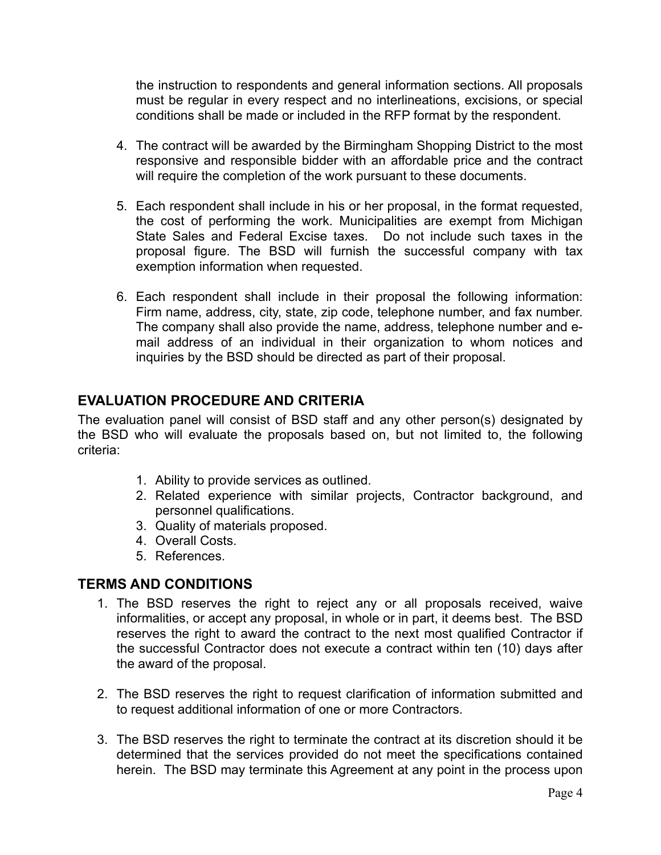the instruction to respondents and general information sections. All proposals must be regular in every respect and no interlineations, excisions, or special conditions shall be made or included in the RFP format by the respondent.

- 4. The contract will be awarded by the Birmingham Shopping District to the most responsive and responsible bidder with an affordable price and the contract will require the completion of the work pursuant to these documents.
- 5. Each respondent shall include in his or her proposal, in the format requested, the cost of performing the work. Municipalities are exempt from Michigan State Sales and Federal Excise taxes. Do not include such taxes in the proposal figure. The BSD will furnish the successful company with tax exemption information when requested.
- 6. Each respondent shall include in their proposal the following information: Firm name, address, city, state, zip code, telephone number, and fax number. The company shall also provide the name, address, telephone number and email address of an individual in their organization to whom notices and inquiries by the BSD should be directed as part of their proposal.

### <span id="page-3-0"></span>**EVALUATION PROCEDURE AND CRITERIA**

The evaluation panel will consist of BSD staff and any other person(s) designated by the BSD who will evaluate the proposals based on, but not limited to, the following criteria:

- 1. Ability to provide services as outlined.
- 2. Related experience with similar projects, Contractor background, and personnel qualifications.
- 3. Quality of materials proposed.
- 4. Overall Costs.
- 5. References.

### <span id="page-3-1"></span>**TERMS AND CONDITIONS**

- 1. The BSD reserves the right to reject any or all proposals received, waive informalities, or accept any proposal, in whole or in part, it deems best. The BSD reserves the right to award the contract to the next most qualified Contractor if the successful Contractor does not execute a contract within ten (10) days after the award of the proposal.
- 2. The BSD reserves the right to request clarification of information submitted and to request additional information of one or more Contractors.
- 3. The BSD reserves the right to terminate the contract at its discretion should it be determined that the services provided do not meet the specifications contained herein. The BSD may terminate this Agreement at any point in the process upon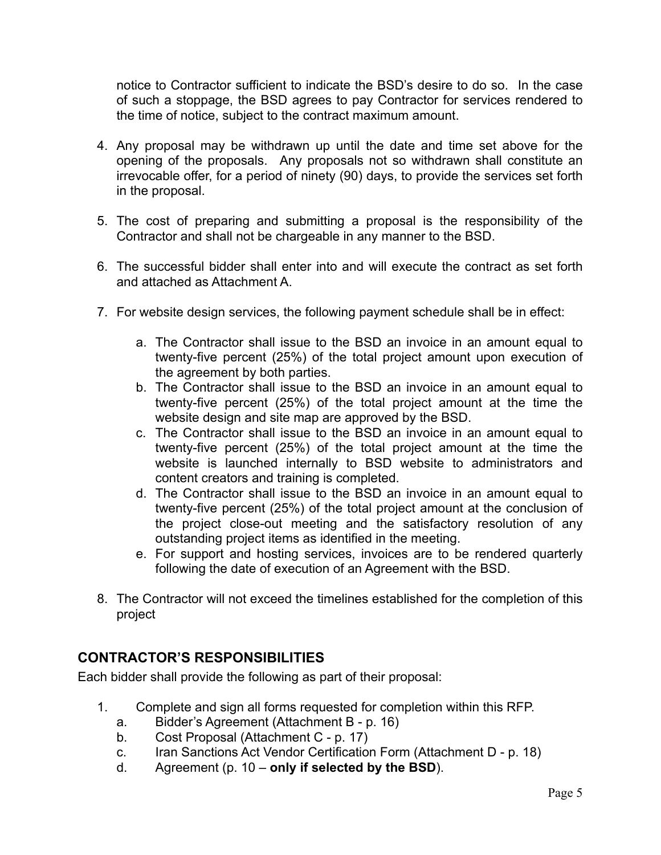notice to Contractor sufficient to indicate the BSD's desire to do so. In the case of such a stoppage, the BSD agrees to pay Contractor for services rendered to the time of notice, subject to the contract maximum amount.

- 4. Any proposal may be withdrawn up until the date and time set above for the opening of the proposals. Any proposals not so withdrawn shall constitute an irrevocable offer, for a period of ninety (90) days, to provide the services set forth in the proposal.
- 5. The cost of preparing and submitting a proposal is the responsibility of the Contractor and shall not be chargeable in any manner to the BSD.
- 6. The successful bidder shall enter into and will execute the contract as set forth and attached as Attachment A.
- 7. For website design services, the following payment schedule shall be in effect:
	- a. The Contractor shall issue to the BSD an invoice in an amount equal to twenty-five percent (25%) of the total project amount upon execution of the agreement by both parties.
	- b. The Contractor shall issue to the BSD an invoice in an amount equal to twenty-five percent (25%) of the total project amount at the time the website design and site map are approved by the BSD.
	- c. The Contractor shall issue to the BSD an invoice in an amount equal to twenty-five percent (25%) of the total project amount at the time the website is launched internally to BSD website to administrators and content creators and training is completed.
	- d. The Contractor shall issue to the BSD an invoice in an amount equal to twenty-five percent (25%) of the total project amount at the conclusion of the project close-out meeting and the satisfactory resolution of any outstanding project items as identified in the meeting.
	- e. For support and hosting services, invoices are to be rendered quarterly following the date of execution of an Agreement with the BSD.
- 8. The Contractor will not exceed the timelines established for the completion of this project

### <span id="page-4-0"></span>**CONTRACTOR'S RESPONSIBILITIES**

Each bidder shall provide the following as part of their proposal:

- 1. Complete and sign all forms requested for completion within this RFP.
	- a. Bidder's Agreement (Attachment B p. 16)
	- b. Cost Proposal (Attachment C p. 17)
	- c. Iran Sanctions Act Vendor Certification Form (Attachment D p. 18)
	- d. Agreement (p. 10 **only if selected by the BSD**).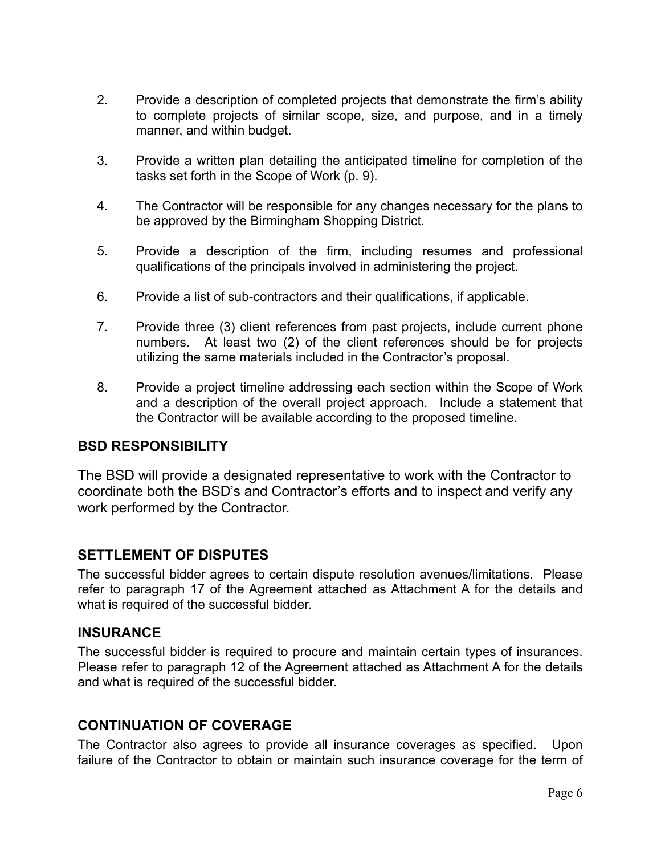- 2. Provide a description of completed projects that demonstrate the firm's ability to complete projects of similar scope, size, and purpose, and in a timely manner, and within budget.
- 3. Provide a written plan detailing the anticipated timeline for completion of the tasks set forth in the Scope of Work (p. 9).
- 4. The Contractor will be responsible for any changes necessary for the plans to be approved by the Birmingham Shopping District.
- 5. Provide a description of the firm, including resumes and professional qualifications of the principals involved in administering the project.
- 6. Provide a list of sub-contractors and their qualifications, if applicable.
- 7. Provide three (3) client references from past projects, include current phone numbers. At least two (2) of the client references should be for projects utilizing the same materials included in the Contractor's proposal.
- 8. Provide a project timeline addressing each section within the Scope of Work and a description of the overall project approach. Include a statement that the Contractor will be available according to the proposed timeline.

#### <span id="page-5-0"></span>**BSD RESPONSIBILITY**

<span id="page-5-1"></span>The BSD will provide a designated representative to work with the Contractor to coordinate both the BSD's and Contractor's efforts and to inspect and verify any work performed by the Contractor.

#### <span id="page-5-2"></span>**SETTLEMENT OF DISPUTES**

The successful bidder agrees to certain dispute resolution avenues/limitations. Please refer to paragraph 17 of the Agreement attached as Attachment A for the details and what is required of the successful bidder.

#### <span id="page-5-3"></span>**INSURANCE**

The successful bidder is required to procure and maintain certain types of insurances. Please refer to paragraph 12 of the Agreement attached as Attachment A for the details and what is required of the successful bidder.

#### <span id="page-5-4"></span>**CONTINUATION OF COVERAGE**

The Contractor also agrees to provide all insurance coverages as specified. Upon failure of the Contractor to obtain or maintain such insurance coverage for the term of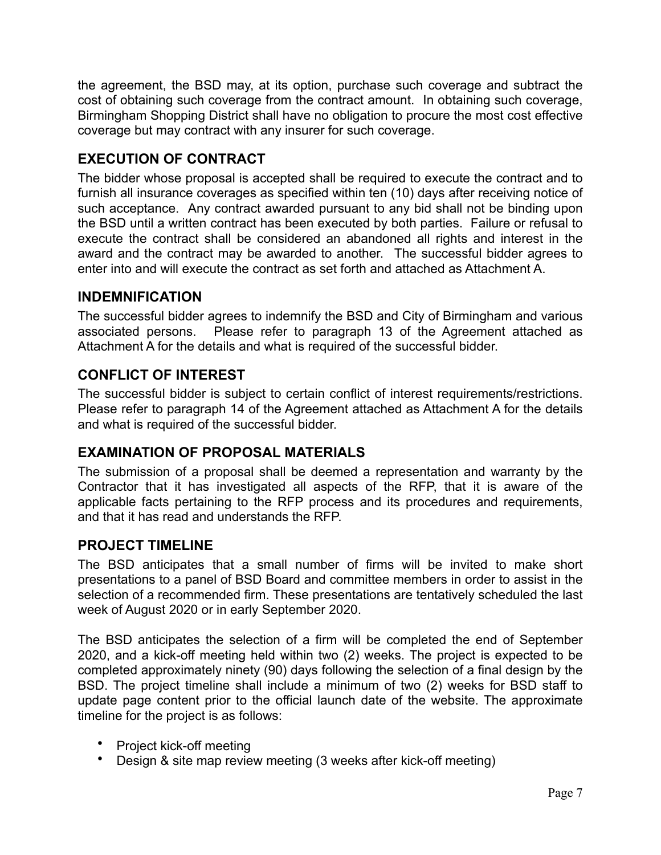the agreement, the BSD may, at its option, purchase such coverage and subtract the cost of obtaining such coverage from the contract amount. In obtaining such coverage, Birmingham Shopping District shall have no obligation to procure the most cost effective coverage but may contract with any insurer for such coverage.

# <span id="page-6-0"></span>**EXECUTION OF CONTRACT**

The bidder whose proposal is accepted shall be required to execute the contract and to furnish all insurance coverages as specified within ten (10) days after receiving notice of such acceptance. Any contract awarded pursuant to any bid shall not be binding upon the BSD until a written contract has been executed by both parties. Failure or refusal to execute the contract shall be considered an abandoned all rights and interest in the award and the contract may be awarded to another. The successful bidder agrees to enter into and will execute the contract as set forth and attached as Attachment A.

### <span id="page-6-1"></span>**INDEMNIFICATION**

The successful bidder agrees to indemnify the BSD and City of Birmingham and various associated persons. Please refer to paragraph 13 of the Agreement attached as Attachment A for the details and what is required of the successful bidder.

### <span id="page-6-2"></span>**CONFLICT OF INTEREST**

The successful bidder is subject to certain conflict of interest requirements/restrictions. Please refer to paragraph 14 of the Agreement attached as Attachment A for the details and what is required of the successful bidder.

### <span id="page-6-3"></span>**EXAMINATION OF PROPOSAL MATERIALS**

The submission of a proposal shall be deemed a representation and warranty by the Contractor that it has investigated all aspects of the RFP, that it is aware of the applicable facts pertaining to the RFP process and its procedures and requirements, and that it has read and understands the RFP.

### <span id="page-6-4"></span>**PROJECT TIMELINE**

The BSD anticipates that a small number of firms will be invited to make short presentations to a panel of BSD Board and committee members in order to assist in the selection of a recommended firm. These presentations are tentatively scheduled the last week of August 2020 or in early September 2020.

The BSD anticipates the selection of a firm will be completed the end of September 2020, and a kick-off meeting held within two (2) weeks. The project is expected to be completed approximately ninety (90) days following the selection of a final design by the BSD. The project timeline shall include a minimum of two (2) weeks for BSD staff to update page content prior to the official launch date of the website. The approximate timeline for the project is as follows:

- Project kick-off meeting
- Design & site map review meeting (3 weeks after kick-off meeting)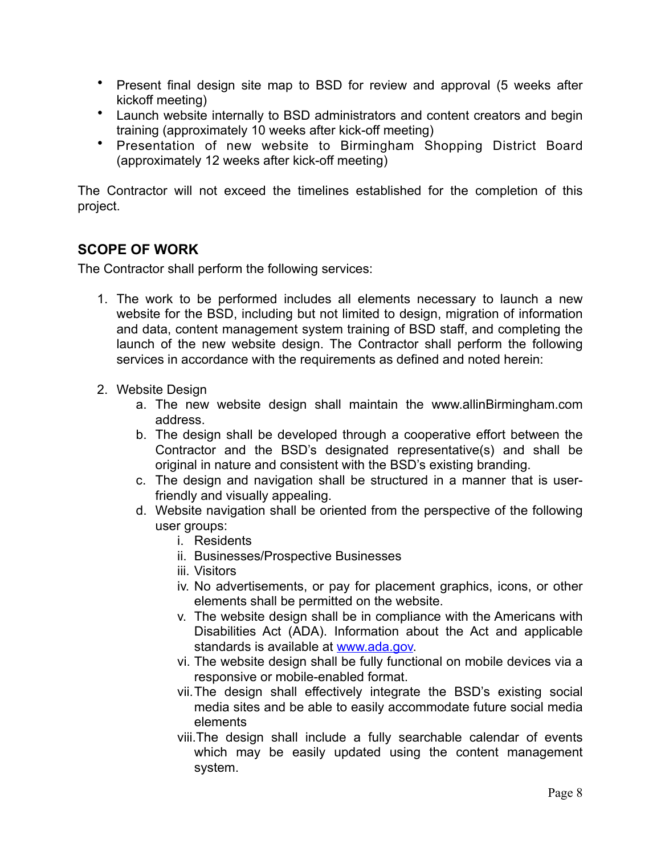- Present final design site map to BSD for review and approval (5 weeks after kickoff meeting)
- Launch website internally to BSD administrators and content creators and begin training (approximately 10 weeks after kick-off meeting)
- Presentation of new website to Birmingham Shopping District Board (approximately 12 weeks after kick-off meeting)

The Contractor will not exceed the timelines established for the completion of this project.

## <span id="page-7-0"></span>**SCOPE OF WORK**

The Contractor shall perform the following services:

- 1. The work to be performed includes all elements necessary to launch a new website for the BSD, including but not limited to design, migration of information and data, content management system training of BSD staff, and completing the launch of the new website design. The Contractor shall perform the following services in accordance with the requirements as defined and noted herein:
- 2. Website Design
	- a. The new website design shall maintain the www.allinBirmingham.com address.
	- b. The design shall be developed through a cooperative effort between the Contractor and the BSD's designated representative(s) and shall be original in nature and consistent with the BSD's existing branding.
	- c. The design and navigation shall be structured in a manner that is userfriendly and visually appealing.
	- d. Website navigation shall be oriented from the perspective of the following user groups:
		- i. Residents
		- ii. Businesses/Prospective Businesses
		- iii. Visitors
		- iv. No advertisements, or pay for placement graphics, icons, or other elements shall be permitted on the website.
		- v. The website design shall be in compliance with the Americans with Disabilities Act (ADA). Information about the Act and applicable standards is available at [www.ada.gov.](http://www.ada.gov)
		- vi. The website design shall be fully functional on mobile devices via a responsive or mobile-enabled format.
		- vii.The design shall effectively integrate the BSD's existing social media sites and be able to easily accommodate future social media elements
		- viii.The design shall include a fully searchable calendar of events which may be easily updated using the content management system.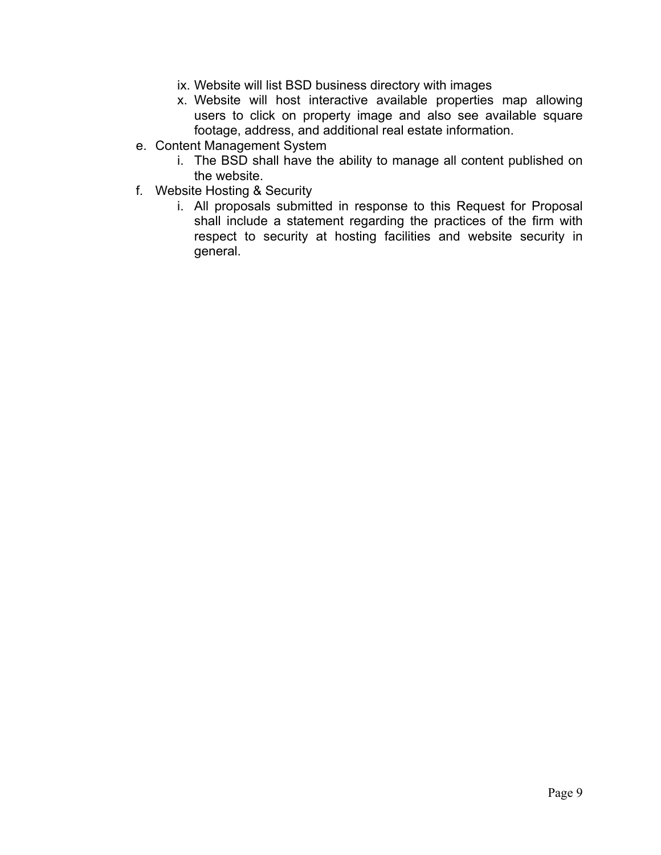- ix. Website will list BSD business directory with images
- x. Website will host interactive available properties map allowing users to click on property image and also see available square footage, address, and additional real estate information.
- e. Content Management System
	- i. The BSD shall have the ability to manage all content published on the website.
- f. Website Hosting & Security
	- i. All proposals submitted in response to this Request for Proposal shall include a statement regarding the practices of the firm with respect to security at hosting facilities and website security in general.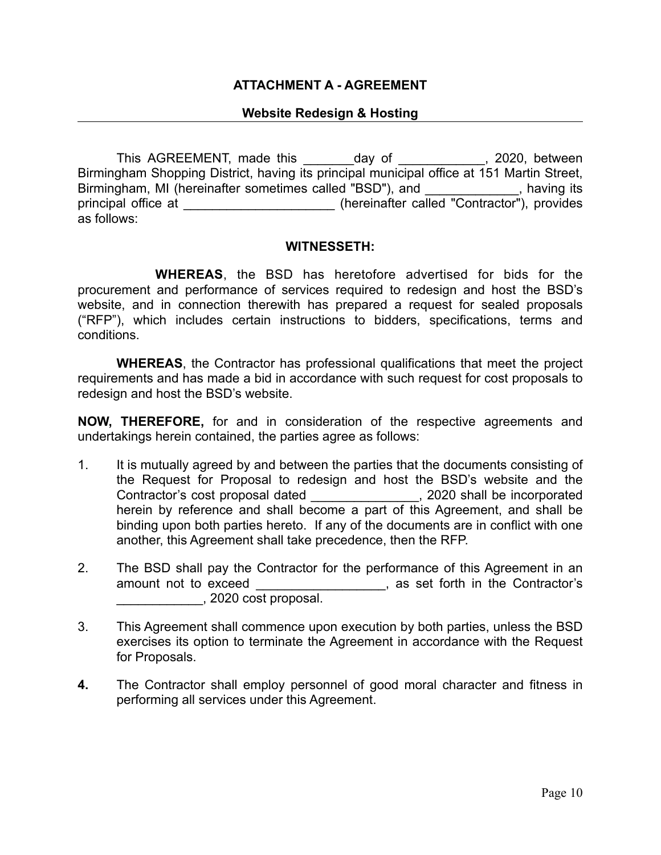#### **ATTACHMENT A - AGREEMENT**

#### **Website Redesign & Hosting**

This AGREEMENT, made this \_\_\_\_\_\_\_day of \_\_\_\_\_\_\_\_\_\_\_, 2020, between Birmingham Shopping District, having its principal municipal office at 151 Martin Street, Birmingham, MI (hereinafter sometimes called "BSD"), and \_\_\_\_\_\_\_\_\_\_\_\_\_, having its principal office at  $\qquad \qquad$  (hereinafter called "Contractor"), provides as follows:

#### **WITNESSETH:**

 **WHEREAS**, the BSD has heretofore advertised for bids for the procurement and performance of services required to redesign and host the BSD's website, and in connection therewith has prepared a request for sealed proposals ("RFP"), which includes certain instructions to bidders, specifications, terms and conditions.

 **WHEREAS**, the Contractor has professional qualifications that meet the project requirements and has made a bid in accordance with such request for cost proposals to redesign and host the BSD's website.

**NOW, THEREFORE,** for and in consideration of the respective agreements and undertakings herein contained, the parties agree as follows:

- 1. It is mutually agreed by and between the parties that the documents consisting of the Request for Proposal to redesign and host the BSD's website and the Contractor's cost proposal dated \_\_\_\_\_\_\_\_\_\_\_\_\_\_\_, 2020 shall be incorporated herein by reference and shall become a part of this Agreement, and shall be binding upon both parties hereto. If any of the documents are in conflict with one another, this Agreement shall take precedence, then the RFP.
- 2. The BSD shall pay the Contractor for the performance of this Agreement in an amount not to exceed amount not to exceed amount not to exceed and  $\sim$ , as set forth in the Contractor's \_\_\_\_\_\_\_\_\_\_\_\_, 2020 cost proposal.
- 3. This Agreement shall commence upon execution by both parties, unless the BSD exercises its option to terminate the Agreement in accordance with the Request for Proposals.
- **4.** The Contractor shall employ personnel of good moral character and fitness in performing all services under this Agreement.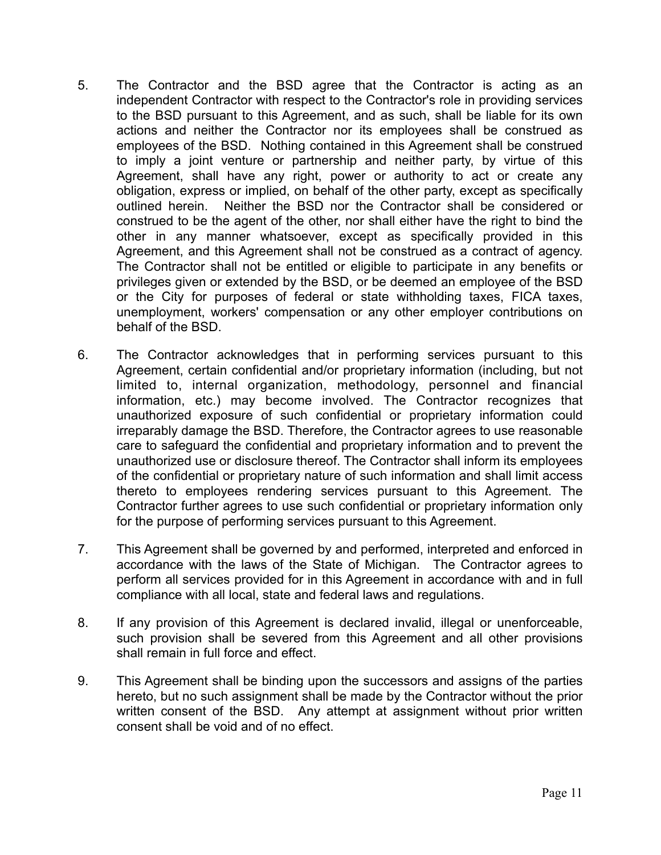- 5. The Contractor and the BSD agree that the Contractor is acting as an independent Contractor with respect to the Contractor's role in providing services to the BSD pursuant to this Agreement, and as such, shall be liable for its own actions and neither the Contractor nor its employees shall be construed as employees of the BSD. Nothing contained in this Agreement shall be construed to imply a joint venture or partnership and neither party, by virtue of this Agreement, shall have any right, power or authority to act or create any obligation, express or implied, on behalf of the other party, except as specifically outlined herein. Neither the BSD nor the Contractor shall be considered or construed to be the agent of the other, nor shall either have the right to bind the other in any manner whatsoever, except as specifically provided in this Agreement, and this Agreement shall not be construed as a contract of agency. The Contractor shall not be entitled or eligible to participate in any benefits or privileges given or extended by the BSD, or be deemed an employee of the BSD or the City for purposes of federal or state withholding taxes, FICA taxes, unemployment, workers' compensation or any other employer contributions on behalf of the BSD.
- 6. The Contractor acknowledges that in performing services pursuant to this Agreement, certain confidential and/or proprietary information (including, but not limited to, internal organization, methodology, personnel and financial information, etc.) may become involved. The Contractor recognizes that unauthorized exposure of such confidential or proprietary information could irreparably damage the BSD. Therefore, the Contractor agrees to use reasonable care to safeguard the confidential and proprietary information and to prevent the unauthorized use or disclosure thereof. The Contractor shall inform its employees of the confidential or proprietary nature of such information and shall limit access thereto to employees rendering services pursuant to this Agreement. The Contractor further agrees to use such confidential or proprietary information only for the purpose of performing services pursuant to this Agreement.
- 7. This Agreement shall be governed by and performed, interpreted and enforced in accordance with the laws of the State of Michigan. The Contractor agrees to perform all services provided for in this Agreement in accordance with and in full compliance with all local, state and federal laws and regulations.
- 8. If any provision of this Agreement is declared invalid, illegal or unenforceable, such provision shall be severed from this Agreement and all other provisions shall remain in full force and effect.
- 9. This Agreement shall be binding upon the successors and assigns of the parties hereto, but no such assignment shall be made by the Contractor without the prior written consent of the BSD. Any attempt at assignment without prior written consent shall be void and of no effect.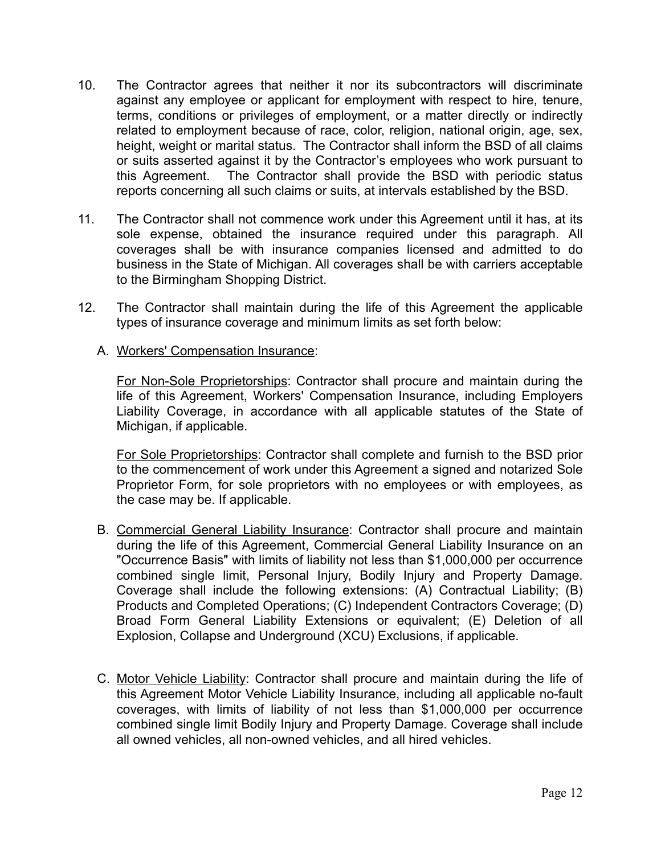- 10. The Contractor agrees that neither it nor its subcontractors will discriminate against any employee or applicant for employment with respect to hire, tenure, terms, conditions or privileges of employment, or a matter directly or indirectly related to employment because of race, color, religion, national origin, age, sex, height, weight or marital status. The Contractor shall inform the BSD of all claims or suits asserted against it by the Contractor's employees who work pursuant to this Agreement. The Contractor shall provide the BSD with periodic status reports concerning all such claims or suits, at intervals established by the BSD.
- 11. The Contractor shall not commence work under this Agreement until it has, at its sole expense, obtained the insurance required under this paragraph. All coverages shall be with insurance companies licensed and admitted to do business in the State of Michigan. All coverages shall be with carriers acceptable to the Birmingham Shopping District.
- 12. The Contractor shall maintain during the life of this Agreement the applicable types of insurance coverage and minimum limits as set forth below:
	- A. Workers' Compensation Insurance:

For Non-Sole Proprietorships: Contractor shall procure and maintain during the life of this Agreement, Workers' Compensation Insurance, including Employers Liability Coverage, in accordance with all applicable statutes of the State of Michigan, if applicable.

For Sole Proprietorships: Contractor shall complete and furnish to the BSD prior to the commencement of work under this Agreement a signed and notarized Sole Proprietor Form, for sole proprietors with no employees or with employees, as the case may be. If applicable.

- B. Commercial General Liability Insurance: Contractor shall procure and maintain during the life of this Agreement, Commercial General Liability Insurance on an "Occurrence Basis" with limits of liability not less than \$1,000,000 per occurrence combined single limit, Personal Injury, Bodily Injury and Property Damage. Coverage shall include the following extensions: (A) Contractual Liability; (B) Products and Completed Operations; (C) Independent Contractors Coverage; (D) Broad Form General Liability Extensions or equivalent; (E) Deletion of all Explosion, Collapse and Underground (XCU) Exclusions, if applicable.
- C. Motor Vehicle Liability: Contractor shall procure and maintain during the life of this Agreement Motor Vehicle Liability Insurance, including all applicable no-fault coverages, with limits of liability of not less than \$1,000,000 per occurrence combined single limit Bodily Injury and Property Damage. Coverage shall include all owned vehicles, all non-owned vehicles, and all hired vehicles.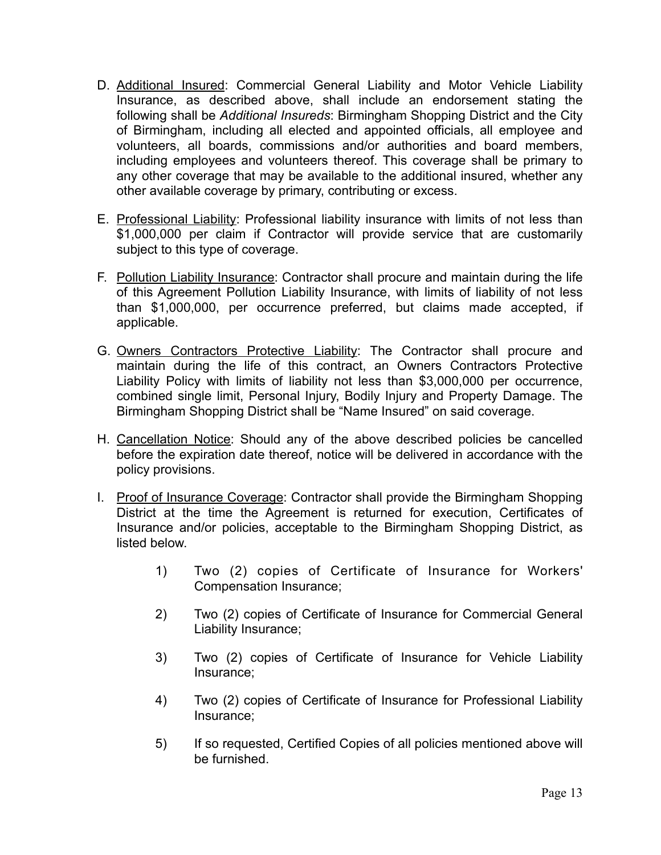- D. Additional Insured: Commercial General Liability and Motor Vehicle Liability Insurance, as described above, shall include an endorsement stating the following shall be *Additional Insureds*: Birmingham Shopping District and the City of Birmingham, including all elected and appointed officials, all employee and volunteers, all boards, commissions and/or authorities and board members, including employees and volunteers thereof. This coverage shall be primary to any other coverage that may be available to the additional insured, whether any other available coverage by primary, contributing or excess.
- E. Professional Liability: Professional liability insurance with limits of not less than \$1,000,000 per claim if Contractor will provide service that are customarily subject to this type of coverage.
- F. Pollution Liability Insurance: Contractor shall procure and maintain during the life of this Agreement Pollution Liability Insurance, with limits of liability of not less than \$1,000,000, per occurrence preferred, but claims made accepted, if applicable.
- G. Owners Contractors Protective Liability: The Contractor shall procure and maintain during the life of this contract, an Owners Contractors Protective Liability Policy with limits of liability not less than \$3,000,000 per occurrence, combined single limit, Personal Injury, Bodily Injury and Property Damage. The Birmingham Shopping District shall be "Name Insured" on said coverage.
- H. Cancellation Notice: Should any of the above described policies be cancelled before the expiration date thereof, notice will be delivered in accordance with the policy provisions.
- I. Proof of Insurance Coverage: Contractor shall provide the Birmingham Shopping District at the time the Agreement is returned for execution, Certificates of Insurance and/or policies, acceptable to the Birmingham Shopping District, as listed below.
	- 1) Two (2) copies of Certificate of Insurance for Workers' Compensation Insurance;
	- 2) Two (2) copies of Certificate of Insurance for Commercial General Liability Insurance;
	- 3) Two (2) copies of Certificate of Insurance for Vehicle Liability Insurance;
	- 4) Two (2) copies of Certificate of Insurance for Professional Liability Insurance;
	- 5) If so requested, Certified Copies of all policies mentioned above will be furnished.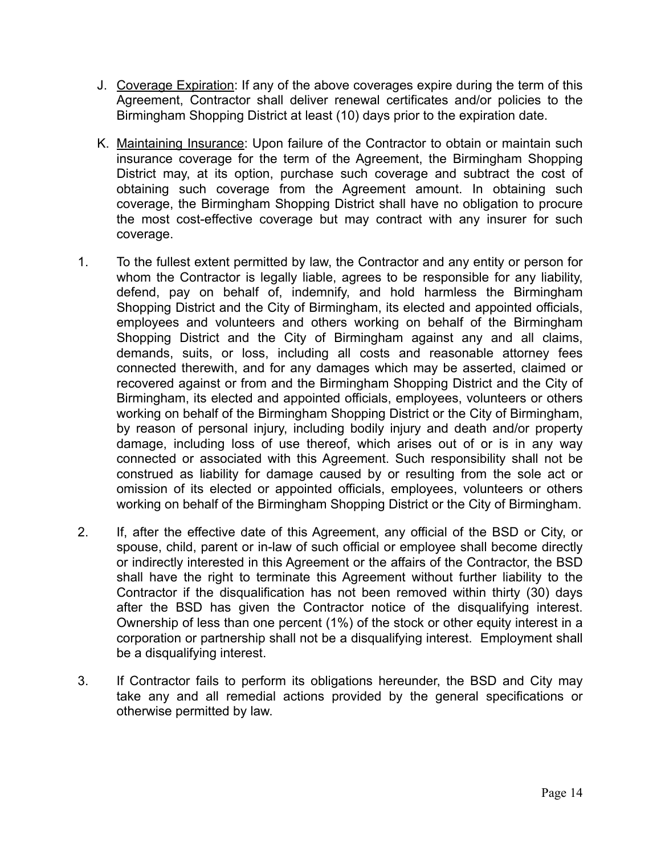- J. Coverage Expiration: If any of the above coverages expire during the term of this Agreement, Contractor shall deliver renewal certificates and/or policies to the Birmingham Shopping District at least (10) days prior to the expiration date.
- K. Maintaining Insurance: Upon failure of the Contractor to obtain or maintain such insurance coverage for the term of the Agreement, the Birmingham Shopping District may, at its option, purchase such coverage and subtract the cost of obtaining such coverage from the Agreement amount. In obtaining such coverage, the Birmingham Shopping District shall have no obligation to procure the most cost-effective coverage but may contract with any insurer for such coverage.
- 1. To the fullest extent permitted by law, the Contractor and any entity or person for whom the Contractor is legally liable, agrees to be responsible for any liability, defend, pay on behalf of, indemnify, and hold harmless the Birmingham Shopping District and the City of Birmingham, its elected and appointed officials, employees and volunteers and others working on behalf of the Birmingham Shopping District and the City of Birmingham against any and all claims, demands, suits, or loss, including all costs and reasonable attorney fees connected therewith, and for any damages which may be asserted, claimed or recovered against or from and the Birmingham Shopping District and the City of Birmingham, its elected and appointed officials, employees, volunteers or others working on behalf of the Birmingham Shopping District or the City of Birmingham, by reason of personal injury, including bodily injury and death and/or property damage, including loss of use thereof, which arises out of or is in any way connected or associated with this Agreement. Such responsibility shall not be construed as liability for damage caused by or resulting from the sole act or omission of its elected or appointed officials, employees, volunteers or others working on behalf of the Birmingham Shopping District or the City of Birmingham.
- 2. If, after the effective date of this Agreement, any official of the BSD or City, or spouse, child, parent or in-law of such official or employee shall become directly or indirectly interested in this Agreement or the affairs of the Contractor, the BSD shall have the right to terminate this Agreement without further liability to the Contractor if the disqualification has not been removed within thirty (30) days after the BSD has given the Contractor notice of the disqualifying interest. Ownership of less than one percent (1%) of the stock or other equity interest in a corporation or partnership shall not be a disqualifying interest. Employment shall be a disqualifying interest.
- 3. If Contractor fails to perform its obligations hereunder, the BSD and City may take any and all remedial actions provided by the general specifications or otherwise permitted by law.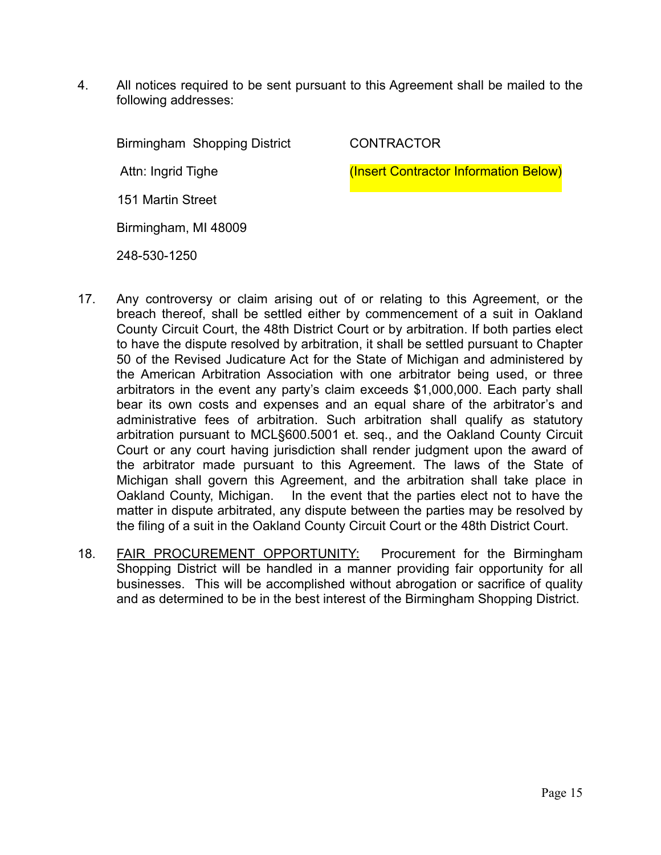4. All notices required to be sent pursuant to this Agreement shall be mailed to the following addresses:

Birmingham Shopping District

**CONTRACTOR** 

Attn: Ingrid Tighe

(Insert Contractor Information Below)

151 Martin Street

Birmingham, MI 48009

248-530-1250

- 17. Any controversy or claim arising out of or relating to this Agreement, or the breach thereof, shall be settled either by commencement of a suit in Oakland County Circuit Court, the 48th District Court or by arbitration. If both parties elect to have the dispute resolved by arbitration, it shall be settled pursuant to Chapter 50 of the Revised Judicature Act for the State of Michigan and administered by the American Arbitration Association with one arbitrator being used, or three arbitrators in the event any party's claim exceeds \$1,000,000. Each party shall bear its own costs and expenses and an equal share of the arbitrator's and administrative fees of arbitration. Such arbitration shall qualify as statutory arbitration pursuant to MCL§600.5001 et. seq., and the Oakland County Circuit Court or any court having jurisdiction shall render judgment upon the award of the arbitrator made pursuant to this Agreement. The laws of the State of Michigan shall govern this Agreement, and the arbitration shall take place in Oakland County, Michigan. In the event that the parties elect not to have the matter in dispute arbitrated, any dispute between the parties may be resolved by the filing of a suit in the Oakland County Circuit Court or the 48th District Court.
- 18. FAIR PROCUREMENT OPPORTUNITY:Procurement for the Birmingham Shopping District will be handled in a manner providing fair opportunity for all businesses. This will be accomplished without abrogation or sacrifice of quality and as determined to be in the best interest of the Birmingham Shopping District.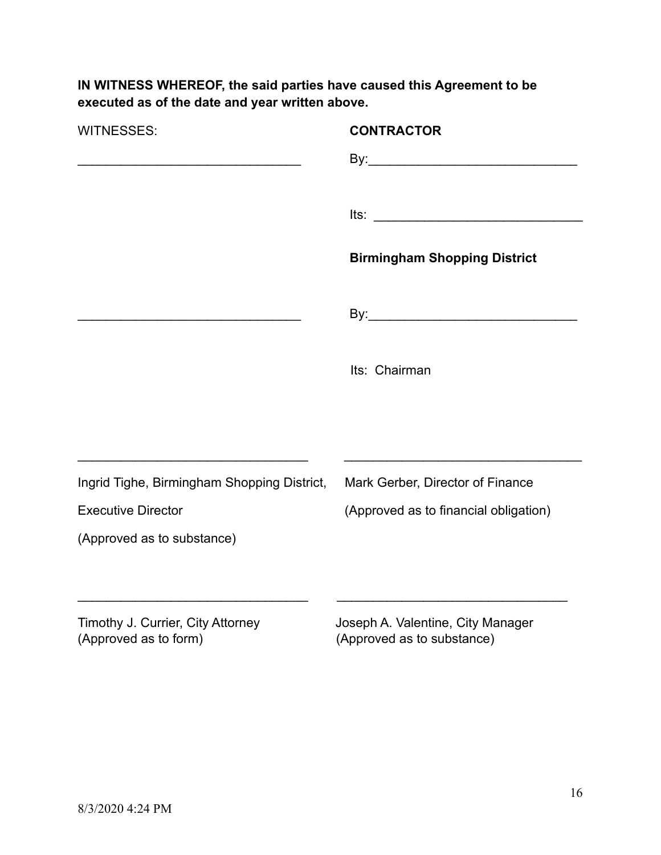**IN WITNESS WHEREOF, the said parties have caused this Agreement to be executed as of the date and year written above.** 

| <b>WITNESSES:</b>                                          | <b>CONTRACTOR</b>                                               |
|------------------------------------------------------------|-----------------------------------------------------------------|
|                                                            |                                                                 |
|                                                            |                                                                 |
|                                                            | $Its: __________$                                               |
|                                                            | <b>Birmingham Shopping District</b>                             |
|                                                            |                                                                 |
|                                                            | Its: Chairman                                                   |
|                                                            |                                                                 |
| Ingrid Tighe, Birmingham Shopping District,                | Mark Gerber, Director of Finance                                |
| <b>Executive Director</b>                                  | (Approved as to financial obligation)                           |
| (Approved as to substance)                                 |                                                                 |
|                                                            |                                                                 |
| Timothy J. Currier, City Attorney<br>(Approved as to form) | Joseph A. Valentine, City Manager<br>(Approved as to substance) |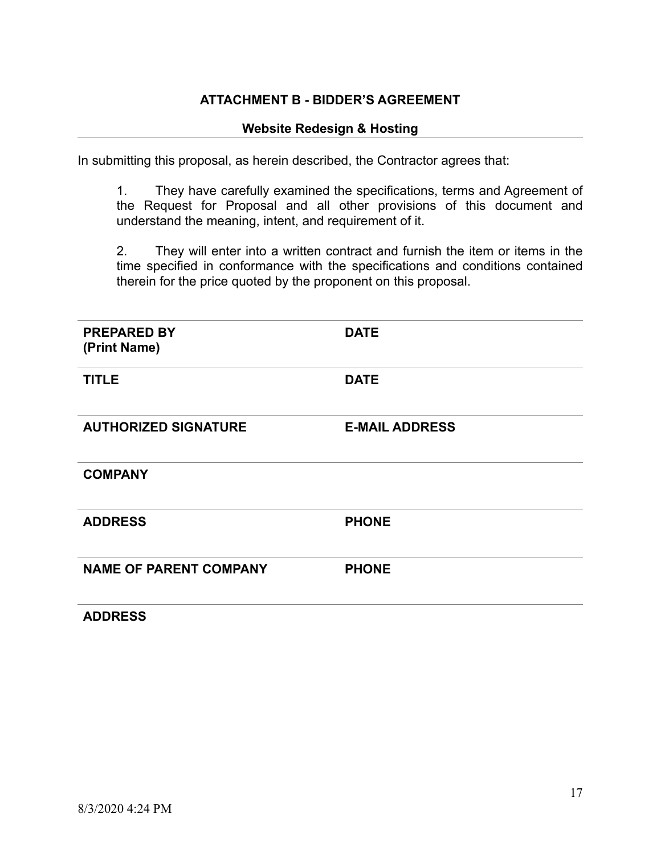#### **ATTACHMENT B - BIDDER'S AGREEMENT**

#### **Website Redesign & Hosting**

In submitting this proposal, as herein described, the Contractor agrees that:

1. They have carefully examined the specifications, terms and Agreement of the Request for Proposal and all other provisions of this document and understand the meaning, intent, and requirement of it.

2. They will enter into a written contract and furnish the item or items in the time specified in conformance with the specifications and conditions contained therein for the price quoted by the proponent on this proposal.

| <b>PREPARED BY</b><br>(Print Name) | <b>DATE</b>           |
|------------------------------------|-----------------------|
| <b>TITLE</b>                       | <b>DATE</b>           |
| <b>AUTHORIZED SIGNATURE</b>        | <b>E-MAIL ADDRESS</b> |
| <b>COMPANY</b>                     |                       |
| <b>ADDRESS</b>                     | <b>PHONE</b>          |
| <b>NAME OF PARENT COMPANY</b>      | <b>PHONE</b>          |
| <b>ADDRESS</b>                     |                       |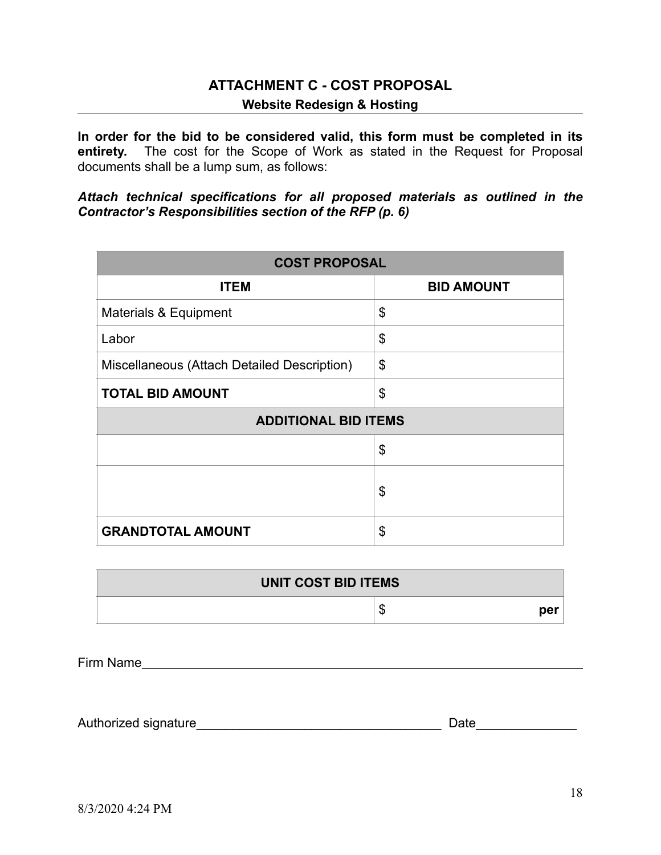# <span id="page-17-0"></span>**ATTACHMENT C - COST PROPOSAL Website Redesign & Hosting**

**In order for the bid to be considered valid, this form must be completed in its entirety.** The cost for the Scope of Work as stated in the Request for Proposal documents shall be a lump sum, as follows:

*Attach technical specifications for all proposed materials as outlined in the Contractor's Responsibilities section of the RFP (p. 6)* 

| <b>COST PROPOSAL</b>                        |                   |  |  |
|---------------------------------------------|-------------------|--|--|
| <b>ITEM</b>                                 | <b>BID AMOUNT</b> |  |  |
| <b>Materials &amp; Equipment</b>            | \$                |  |  |
| Labor                                       | \$                |  |  |
| Miscellaneous (Attach Detailed Description) | \$                |  |  |
| <b>TOTAL BID AMOUNT</b>                     | \$                |  |  |
| <b>ADDITIONAL BID ITEMS</b>                 |                   |  |  |
|                                             | \$                |  |  |
|                                             | \$                |  |  |
| <b>GRANDTOTAL AMOUNT</b>                    | \$                |  |  |

| UNIT COST BID ITEMS |               |
|---------------------|---------------|
|                     | m<br>per<br>w |

Firm Name

Authorized signature\_\_\_\_\_\_\_\_\_\_\_\_\_\_\_\_\_\_\_\_\_\_\_\_\_\_\_\_\_\_\_\_\_\_ Date\_\_\_\_\_\_\_\_\_\_\_\_\_\_